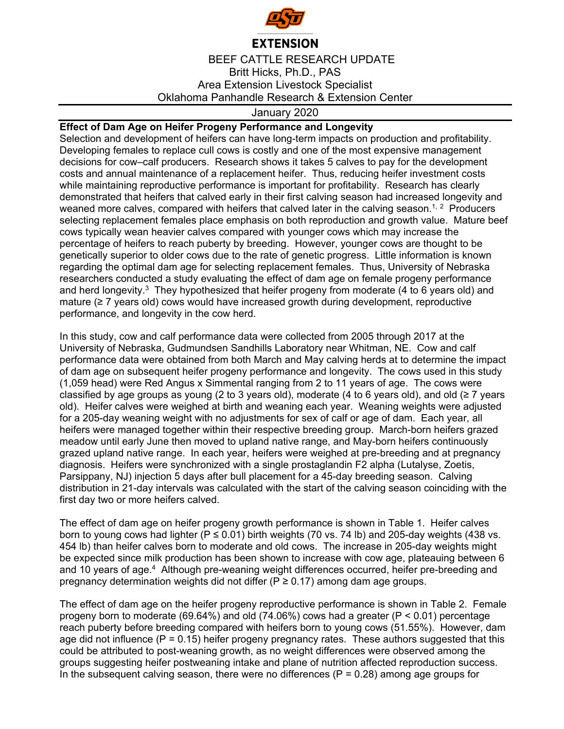

## **EXTENSION**

BEEF CATTLE RESEARCH UPDATE Britt Hicks, Ph.D., PAS Area Extension Livestock Specialist Oklahoma Panhandle Research & Extension Center

## January 2020

## **Effect of Dam Age on Heifer Progeny Performance and Longevity**

Selection and development of heifers can have long-term impacts on production and profitability. Developing females to replace cull cows is costly and one of the most expensive management decisions for cow–calf producers. Research shows it takes 5 calves to pay for the development costs and annual maintenance of a replacement heifer. Thus, reducing heifer investment costs while maintaining reproductive performance is important for profitability. Research has clearly demonstrated that heifers that calved early in their first calving season had increased longevity and weaned more calves, compared with heifers that calved later in the calving season.<sup>1, 2</sup> Producers selecting replacement females place emphasis on both reproduction and growth value. Mature beef cows typically wean heavier calves compared with younger cows which may increase the percentage of heifers to reach puberty by breeding. However, younger cows are thought to be genetically superior to older cows due to the rate of genetic progress. Little information is known regarding the optimal dam age for selecting replacement females. Thus, University of Nebraska researchers conducted a study evaluating the effect of dam age on female progeny performance and herd longevity.<sup>3</sup> They hypothesized that heifer progeny from moderate (4 to 6 years old) and mature (≥ 7 years old) cows would have increased growth during development, reproductive performance, and longevity in the cow herd.

In this study, cow and calf performance data were collected from 2005 through 2017 at the University of Nebraska, Gudmundsen Sandhills Laboratory near Whitman, NE. Cow and calf performance data were obtained from both March and May calving herds at to determine the impact of dam age on subsequent heifer progeny performance and longevity. The cows used in this study (1,059 head) were Red Angus x Simmental ranging from 2 to 11 years of age. The cows were classified by age groups as young (2 to 3 years old), moderate (4 to 6 years old), and old ( $\geq$  7 years old). Heifer calves were weighed at birth and weaning each year. Weaning weights were adjusted for a 205-day weaning weight with no adjustments for sex of calf or age of dam. Each year, all heifers were managed together within their respective breeding group. March-born heifers grazed meadow until early June then moved to upland native range, and May-born heifers continuously grazed upland native range. In each year, heifers were weighed at pre-breeding and at pregnancy diagnosis. Heifers were synchronized with a single prostaglandin F2 alpha (Lutalyse, Zoetis, Parsippany, NJ) injection 5 days after bull placement for a 45-day breeding season. Calving distribution in 21-day intervals was calculated with the start of the calving season coinciding with the first day two or more heifers calved.

The effect of dam age on heifer progeny growth performance is shown in Table 1. Heifer calves born to young cows had lighter ( $P \le 0.01$ ) birth weights (70 vs. 74 lb) and 205-day weights (438 vs. 454 lb) than heifer calves born to moderate and old cows. The increase in 205-day weights might be expected since milk production has been shown to increase with cow age, plateauing between 6 and 10 years of age.4 Although pre-weaning weight differences occurred, heifer pre-breeding and pregnancy determination weights did not differ ( $P \ge 0.17$ ) among dam age groups.

The effect of dam age on the heifer progeny reproductive performance is shown in Table 2. Female progeny born to moderate (69.64%) and old (74.06%) cows had a greater (P < 0.01) percentage reach puberty before breeding compared with heifers born to young cows (51.55%). However, dam age did not influence ( $P = 0.15$ ) heifer progeny pregnancy rates. These authors suggested that this could be attributed to post-weaning growth, as no weight differences were observed among the groups suggesting heifer postweaning intake and plane of nutrition affected reproduction success. In the subsequent calving season, there were no differences  $(P = 0.28)$  among age groups for